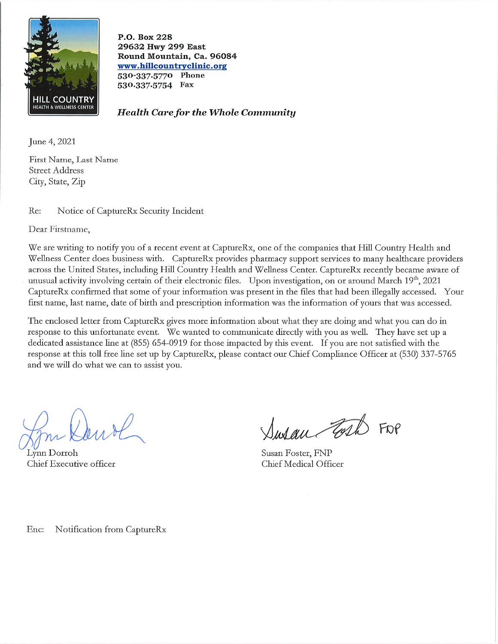

P.O. Box 228 29632 Hwy 299 East Round Mountain, Ca. 96084 www.hillcountryclinic.org 530-337.5770 Phone 530.337.5754 Fax

**Health Care for the Whole Community** 

June 4, 2021

First Name, Last Name **Street Address** City, State, Zip

Re: Notice of CaptureRx Security Incident

Dear Firstname.

We are writing to notify you of a recent event at CaptureRx, one of the companies that Hill Country Health and Wellness Center does business with. CaptureRx provides pharmacy support services to many healthcare providers across the United States, including Hill Country Health and Wellness Center. CaptureRx recently became aware of unusual activity involving certain of their electronic files. Upon investigation, on or around March 19th, 2021 CaptureRx confirmed that some of your information was present in the files that had been illegally accessed. Your first name, last name, date of birth and prescription information was the information of yours that was accessed.

The enclosed letter from CaptureRx gives more information about what they are doing and what you can do in response to this unfortunate event. We wanted to communicate directly with you as well. They have set up a dedicated assistance line at (855) 654-0919 for those impacted by this event. If you are not satisfied with the response at this toll free line set up by CaptureRx, please contact our Chief Compliance Officer at (530) 337-5765 and we will do what we can to assist you.

Lynn Dorroh Chief Executive officer

Susan Fort FOR

Susan Foster, FNP Chief Medical Officer

Notification from CaptureRx Enc: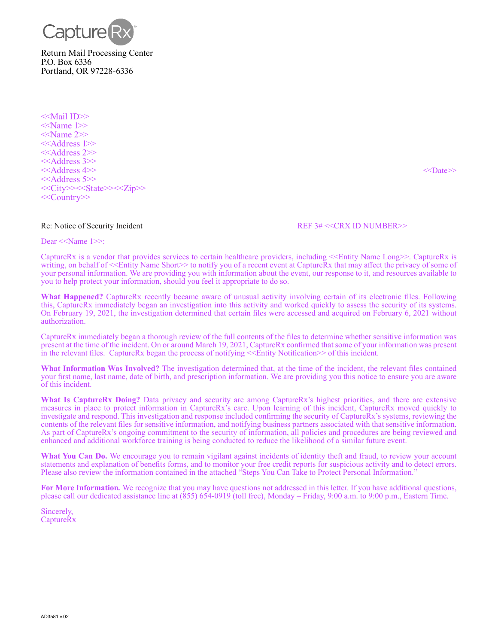

<<Mail ID>> <<Name 1>> <<Name 2>> <<Address 1>> <<Address 2>> <<Address 3>> <<Address 4>> <<Date>> <<Address 5>> <<City>><<State>><<Zip>> <<Country>>

## Re: Notice of Security Incident REF 3# <<CRX ID NUMBER>>

Dear <<Name 1>>:

CaptureRx is a vendor that provides services to certain healthcare providers, including <<Entity Name Long>>. CaptureRx is writing, on behalf of <<Entity Name Short>> to notify you of a recent event at CaptureRx that may affect the privacy of some of your personal information. We are providing you with information about the event, our response to it, and resources available to you to help protect your information, should you feel it appropriate to do so.

**What Happened?** CaptureRx recently became aware of unusual activity involving certain of its electronic files. Following this, CaptureRx immediately began an investigation into this activity and worked quickly to assess the security of its systems. On February 19, 2021, the investigation determined that certain files were accessed and acquired on February 6, 2021 without authorization.

CaptureRx immediately began a thorough review of the full contents of the files to determine whether sensitive information was present at the time of the incident. On or around March 19, 2021, CaptureRx confirmed that some of your information was present in the relevant files. CaptureRx began the process of notifying  $\leq$ Entity Notification $\geq$  of this incident.

**What Information Was Involved?** The investigation determined that, at the time of the incident, the relevant files contained your first name, last name, date of birth, and prescription information. We are providing you this notice to ensure you are aware of this incident.

**What Is CaptureRx Doing?** Data privacy and security are among CaptureRx's highest priorities, and there are extensive measures in place to protect information in CaptureRx's care. Upon learning of this incident, CaptureRx moved quickly to investigate and respond. This investigation and response included confirming the security of CaptureRx's systems, reviewing the contents of the relevant files for sensitive information, and notifying business partners associated with that sensitive information. As part of CaptureRx's ongoing commitment to the security of information, all policies and procedures are being reviewed and enhanced and additional workforce training is being conducted to reduce the likelihood of a similar future event.

What You Can Do. We encourage you to remain vigilant against incidents of identity theft and fraud, to review your account statements and explanation of benefits forms, and to monitor your free credit reports for suspicious activity and to detect errors. Please also review the information contained in the attached "Steps You Can Take to Protect Personal Information."

**For More Information***.* We recognize that you may have questions not addressed in this letter. If you have additional questions, please call our dedicated assistance line at (855) 654-0919 (toll free), Monday – Friday, 9:00 a.m. to 9:00 p.m., Eastern Time.

Sincerely, CaptureRx